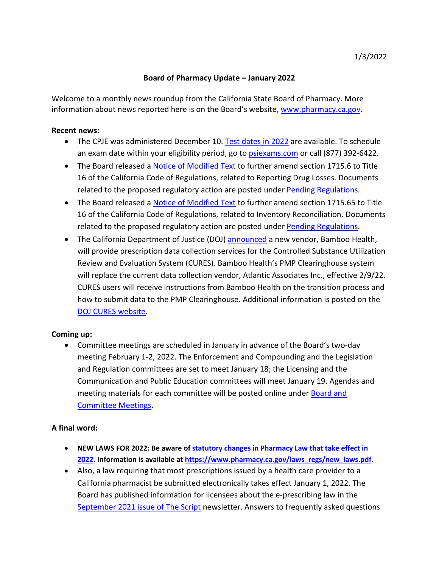## **Board of Pharmacy Update – January 2022**

information about news reported here is on the Board's website, [www.pharmacy.ca.gov.](http://www.pharmacy.ca.gov/) Welcome to a monthly news roundup from the California State Board of Pharmacy. More

## **Recent news:**

- The CPJE was administered December 10. [Test dates in 2022](https://www.pharmacy.ca.gov/applicants/cpje_test_dates.shtml) are available. To schedule an exam date within your eligibility period, go to [psiexams.com](https://candidate.psiexams.com/) or call (877) 392-6422.
- The Board released a **Notice of Modified Text** to further amend section 1715.6 to Title 16 of the California Code of Regulations, related to Reporting Drug Losses. Documents related to the proposed regulatory action are posted under [Pending Regulations.](https://www.pharmacy.ca.gov/laws_regs/pending_regs.shtml)
- The Board released a **Notice of Modified Text** to further amend section 1715.65 to Title related to the proposed regulatory action are posted under [Pending Regulations.](https://www.pharmacy.ca.gov/laws_regs/pending_regs.shtml) 16 of the California Code of Regulations, related to Inventory Reconciliation. Documents
- The California Department of Justice (DOJ) **announced** a new vendor, Bamboo Health, Review and Evaluation System (CURES). Bamboo Health's PMP Clearinghouse system how to submit data to the PMP Clearinghouse. Additional information is posted on the will provide prescription data collection services for the Controlled Substance Utilization will replace the current data collection vendor, Atlantic Associates Inc., effective 2/9/22. CURES users will receive instructions from Bamboo Health on the transition process and [DOJ CURES website.](https://oag.ca.gov/cures)

## **Coming up:**

 • Committee meetings are scheduled in January in advance of the Board's two-day meeting materials for each committee will be posted online under **Board and** meeting February 1-2, 2022. The Enforcement and Compounding and the Legislation and Regulation committees are set to meet January 18; the Licensing and the Communication and Public Education committees will meet January 19. Agendas and [Committee Meetings.](https://www.pharmacy.ca.gov/about/meetings.shtml)

## **A final word:**

- **NEW LAWS FOR 2022: Be aware of [statutory changes in Pharmacy Law that take effect in](https://www.pharmacy.ca.gov/laws_regs/new_laws.pdf) [2022.](https://www.pharmacy.ca.gov/laws_regs/new_laws.pdf) Information is available at [https://www.pharmacy.ca.gov/laws\\_regs/new\\_laws.pdf.](https://www.pharmacy.ca.gov/laws_regs/new_laws.pdf)**
- Board has published information for licensees about the e-prescribing law in the [September 2021 issue of The Script](https://www.pharmacy.ca.gov/publications/21_sep_script.pdf) newsletter. Answers to frequently asked questions • Also, a law requiring that most prescriptions issued by a health care provider to a California pharmacist be submitted electronically takes effect January 1, 2022. The